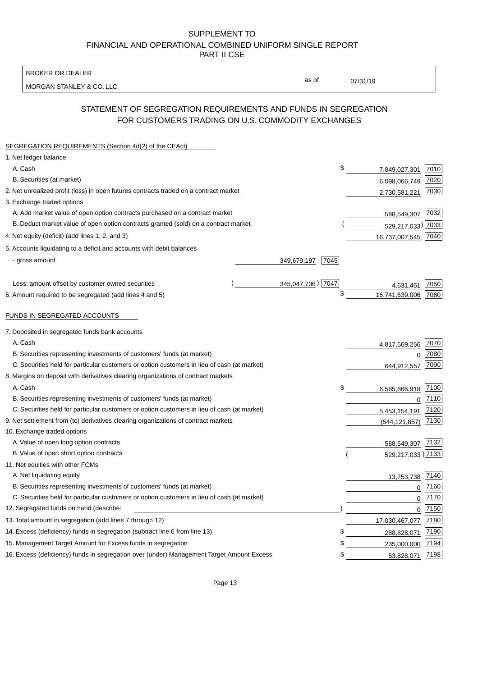BROKER OR DEALER

MORGAN STANLEY & CO. LLC

07/31/19

as of

# STATEMENT OF SEGREGATION REQUIREMENTS AND FUNDS IN SEGREGATION FOR CUSTOMERS TRADING ON U.S. COMMODITY EXCHANGES

| SEGREGATION REQUIREMENTS (Section 4d(2) of the CEAct)                                       |                   |               |                     |      |
|---------------------------------------------------------------------------------------------|-------------------|---------------|---------------------|------|
| 1. Net ledger balance                                                                       |                   |               |                     |      |
| A. Cash                                                                                     |                   | \$            | 7,849,027,301       | 7010 |
| B. Securities (at market)                                                                   |                   |               | 6,098,066,749       | 7020 |
| 2. Net unrealized profit (loss) in open futures contracts traded on a contract market       |                   | 2,730,581,221 | 7030                |      |
| 3. Exchange traded options                                                                  |                   |               |                     |      |
| A. Add market value of open option contracts purchased on a contract market                 |                   |               | 588,549,307 7032    |      |
| B. Deduct market value of open option contracts granted (sold) on a contract market         |                   |               | 529,217,033) 7033   |      |
| 4. Net equity (deficit) (add lines 1, 2, and 3)                                             |                   |               | 16,737,007,545 7040 |      |
| 5. Accounts liquidating to a deficit and accounts with debit balances                       |                   |               |                     |      |
| - gross amount                                                                              | 349,679,197       | 7045          |                     |      |
|                                                                                             |                   |               |                     |      |
| Less: amount offset by customer owned securities                                            | 345,047,736) 7047 |               | 4,631,461           | 7050 |
| 6. Amount required to be segregated (add lines 4 and 5)                                     |                   | \$            | 16,741,639,006      | 7060 |
|                                                                                             |                   |               |                     |      |
| FUNDS IN SEGREGATED ACCOUNTS                                                                |                   |               |                     |      |
| 7. Deposited in segregated funds bank accounts                                              |                   |               |                     |      |
| A. Cash                                                                                     |                   |               | 4,817,569,256       | 7070 |
| B. Securities representing investments of customers' funds (at market)                      |                   |               | $\mathbf 0$         | 7080 |
| C. Securities held for particular customers or option customers in lieu of cash (at market) |                   |               | 644,912,557         | 7090 |
| 8. Margins on deposit with derivatives clearing organizations of contract markets           |                   |               |                     |      |
| A. Cash                                                                                     |                   | \$            | 6,585,866,918       | 7100 |
| B. Securities representing investments of customers' funds (at market)                      |                   |               | $\mathbf 0$         | 7110 |
| C. Securities held for particular customers or option customers in lieu of cash (at market) |                   |               | 5,453,154,191       | 7120 |
| 9. Net settlement from (to) derivatives clearing organizations of contract markets          |                   |               | (544, 121, 857)     | 7130 |
| 10. Exchange traded options                                                                 |                   |               |                     |      |
| A. Value of open long option contracts                                                      |                   |               | 588,549,307         | 7132 |
| B. Value of open short option contracts                                                     |                   |               | 529,217,033) 7133   |      |
| 11. Net equities with other FCMs                                                            |                   |               |                     |      |
| A. Net liquidating equity                                                                   |                   |               | 13,753,738          | 7140 |
| B. Securities representing investments of customers' funds (at market)                      |                   |               | $\mathbf 0$         | 7160 |
| C. Securities held for particular customers or option customers in lieu of cash (at market) |                   |               | 0                   | 7170 |
| 12. Segregated funds on hand (describe:                                                     |                   |               | $\mathbf 0$         | 7150 |
| 13. Total amount in segregation (add lines 7 through 12)                                    |                   |               | 17,030,467,077      | 7180 |
| 14. Excess (deficiency) funds in segregation (subtract line 6 from line 13)                 |                   | S             | 288,828,071         | 7190 |
| 15. Management Target Amount for Excess funds in segregation                                |                   | \$            | 235,000,000         | 7194 |
| 16. Excess (deficiency) funds in segregation over (under) Management Target Amount Excess   |                   | \$            | 53,828,071          | 7198 |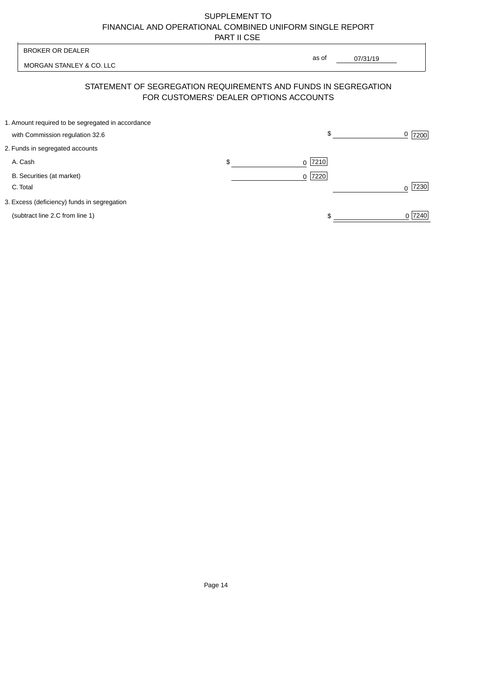MORGAN STANLEY & CO. LLC

07/31/19  $\overline{\phantom{a}}$ 

as of

# STATEMENT OF SEGREGATION REQUIREMENTS AND FUNDS IN SEGREGATION FOR CUSTOMERS' DEALER OPTIONS ACCOUNTS

| 1. Amount required to be segregated in accordance |           |        |
|---------------------------------------------------|-----------|--------|
| with Commission regulation 32.6                   | \$        | 7200   |
| 2. Funds in segregated accounts                   |           |        |
| A. Cash                                           | $0$  7210 |        |
| B. Securities (at market)                         | $0$  7220 |        |
| C. Total                                          |           | 7230   |
| 3. Excess (deficiency) funds in segregation       |           |        |
| (subtract line 2.C from line 1)                   |           | 0 7240 |
|                                                   |           |        |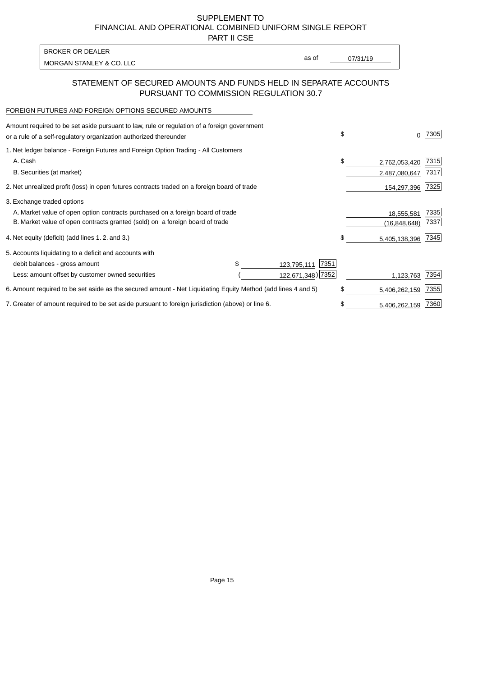PART II CSE

MORGAN STANLEY & CO. LLC and the contract of the contract of the contract of the contract of the contract of the contract of the contract of the contract of the contract of the contract of the contract of the contract of t BROKER OR DEALER

as of

## STATEMENT OF SECURED AMOUNTS AND FUNDS HELD IN SEPARATE ACCOUNTS PURSUANT TO COMMISSION REGULATION 30.7

#### FOREIGN FUTURES AND FOREIGN OPTIONS SECURED AMOUNTS

| Amount required to be set aside pursuant to law, rule or regulation of a foreign government<br>or a rule of a self-regulatory organization authorized thereunder |  |                     | \$ | 0              | 7305 |
|------------------------------------------------------------------------------------------------------------------------------------------------------------------|--|---------------------|----|----------------|------|
| 1. Net ledger balance - Foreign Futures and Foreign Option Trading - All Customers                                                                               |  |                     |    |                |      |
| A. Cash                                                                                                                                                          |  |                     | \$ | 2,762,053,420  | 7315 |
| B. Securities (at market)                                                                                                                                        |  |                     |    | 2,487,080,647  | 7317 |
| 2. Net unrealized profit (loss) in open futures contracts traded on a foreign board of trade                                                                     |  |                     |    | 154,297,396    | 7325 |
| 3. Exchange traded options                                                                                                                                       |  |                     |    |                |      |
| A. Market value of open option contracts purchased on a foreign board of trade                                                                                   |  |                     |    | 18,555,581     | 7335 |
| B. Market value of open contracts granted (sold) on a foreign board of trade                                                                                     |  |                     |    | (16, 848, 648) | 7337 |
| 4. Net equity (deficit) (add lines 1.2. and 3.)                                                                                                                  |  |                     | \$ | 5,405,138,396  | 7345 |
| 5. Accounts liquidating to a deficit and accounts with                                                                                                           |  |                     |    |                |      |
| debit balances - gross amount                                                                                                                                    |  | 7351<br>123,795,111 |    |                |      |
| Less: amount offset by customer owned securities                                                                                                                 |  | 122,671,348) 7352   |    | 1,123,763      | 7354 |
| 6. Amount required to be set aside as the secured amount - Net Liquidating Equity Method (add lines 4 and 5)                                                     |  |                     | \$ | 5,406,262,159  | 7355 |
| 7. Greater of amount required to be set aside pursuant to foreign jurisdiction (above) or line 6.                                                                |  |                     | \$ | 5,406,262,159  | 7360 |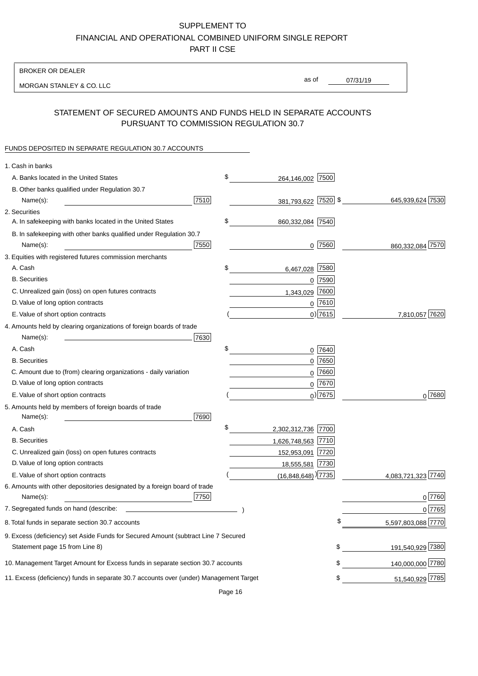BROKER OR DEALER

MORGAN STANLEY & CO. LLC

07/31/19 as of

## STATEMENT OF SECURED AMOUNTS AND FUNDS HELD IN SEPARATE ACCOUNTS PURSUANT TO COMMISSION REGULATION 30.7

#### FUNDS DEPOSITED IN SEPARATE REGULATION 30.7 ACCOUNTS

| 1. Cash in banks                                                                       |      |                                    |             |                    |
|----------------------------------------------------------------------------------------|------|------------------------------------|-------------|--------------------|
| A. Banks located in the United States                                                  | \$   | 264,146,002                        | 7500        |                    |
| B. Other banks qualified under Regulation 30.7                                         |      |                                    |             |                    |
| Name(s):                                                                               | 7510 | 381,793,622 7520 \$                |             | 645,939,624 7530   |
| 2. Securities                                                                          |      |                                    |             |                    |
| A. In safekeeping with banks located in the United States                              | \$   | 860,332,084 7540                   |             |                    |
| B. In safekeeping with other banks qualified under Regulation 30.7                     |      |                                    |             |                    |
| Name(s):                                                                               | 7550 | 0                                  | 7560        | 860,332,084 7570   |
| 3. Equities with registered futures commission merchants                               |      |                                    |             |                    |
| A. Cash                                                                                | \$   | 6,467,028                          | 7580        |                    |
| <b>B.</b> Securities                                                                   |      |                                    | $0$ $7590$  |                    |
| C. Unrealized gain (loss) on open futures contracts                                    |      | 1,343,029                          | 7600        |                    |
| D. Value of long option contracts                                                      |      |                                    | $0$ 7610    |                    |
| E. Value of short option contracts                                                     |      |                                    | $0)$ 7615   | 7,810,057 7620     |
| 4. Amounts held by clearing organizations of foreign boards of trade                   |      |                                    |             |                    |
| Name(s):                                                                               | 7630 |                                    |             |                    |
| A. Cash                                                                                | \$   |                                    | 0 7640      |                    |
| <b>B.</b> Securities                                                                   |      |                                    | $0$ 7650    |                    |
| C. Amount due to (from) clearing organizations - daily variation                       |      | 0                                  | 7660        |                    |
| D. Value of long option contracts                                                      |      |                                    | 0 7670      |                    |
| E. Value of short option contracts                                                     |      |                                    | $_0$ ) 7675 | 0 7680             |
| 5. Amounts held by members of foreign boards of trade                                  |      |                                    |             |                    |
| Name(s):                                                                               | 7690 |                                    |             |                    |
| A. Cash                                                                                | \$   | 2,302,312,736 7700                 |             |                    |
| <b>B.</b> Securities                                                                   |      | 1,626,748,563 7710                 |             |                    |
| C. Unrealized gain (loss) on open futures contracts                                    |      | 152,953,091 7720                   |             |                    |
| D. Value of long option contracts                                                      |      | 18,555,581 7730                    |             |                    |
| E. Value of short option contracts                                                     |      | $(16,848,648)$ <sup>)</sup> [7735] |             | 4,083,721,323 7740 |
| 6. Amounts with other depositories designated by a foreign board of trade              |      |                                    |             |                    |
| Name(s):                                                                               | 7750 |                                    |             | 0 7760             |
| 7. Segregated funds on hand (describe:                                                 |      |                                    |             | 0 7765             |
| 8. Total funds in separate section 30.7 accounts                                       |      |                                    |             | 5,597,803,088 7770 |
| 9. Excess (deficiency) set Aside Funds for Secured Amount (subtract Line 7 Secured     |      |                                    |             |                    |
| Statement page 15 from Line 8)                                                         |      |                                    | \$          | 191,540,929 7380   |
| 10. Management Target Amount for Excess funds in separate section 30.7 accounts        |      |                                    | \$          | 140,000,000 7780   |
| 11. Excess (deficiency) funds in separate 30.7 accounts over (under) Management Target |      |                                    | \$          | 51,540,929 7785    |
|                                                                                        |      |                                    |             |                    |

Page 16